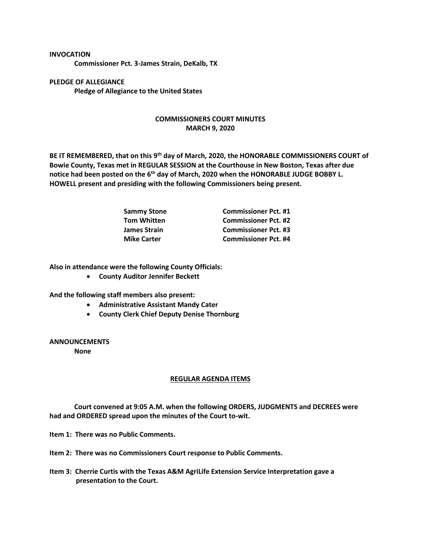## **INVOCATION**

**Commissioner Pct. 3-James Strain, DeKalb, TX**

**PLEDGE OF ALLEGIANCE Pledge of Allegiance to the United States**

## **COMMISSIONERS COURT MINUTES MARCH 9, 2020**

**BE IT REMEMBERED, that on this 9th day of March, 2020, the HONORABLE COMMISSIONERS COURT of Bowie County, Texas met in REGULAR SESSION at the Courthouse in New Boston, Texas after due notice had been posted on the 6th day of March, 2020 when the HONORABLE JUDGE BOBBY L. HOWELL present and presiding with the following Commissioners being present.**

| <b>Sammy Stone</b>  | <b>Commissioner Pct. #1</b> |
|---------------------|-----------------------------|
| <b>Tom Whitten</b>  | <b>Commissioner Pct. #2</b> |
| <b>James Strain</b> | <b>Commissioner Pct. #3</b> |
| <b>Mike Carter</b>  | <b>Commissioner Pct. #4</b> |

**Also in attendance were the following County Officials:**

• **County Auditor Jennifer Beckett**

**And the following staff members also present:**

- **Administrative Assistant Mandy Cater**
- **County Clerk Chief Deputy Denise Thornburg**

**ANNOUNCEMENTS**

**None**

## **REGULAR AGENDA ITEMS**

**Court convened at 9:05 A.M. when the following ORDERS, JUDGMENTS and DECREES were had and ORDERED spread upon the minutes of the Court to-wit.**

**Item 1: There was no Public Comments.**

- **Item 2: There was no Commissioners Court response to Public Comments.**
- **Item 3: Cherrie Curtis with the Texas A&M AgriLife Extension Service Interpretation gave a presentation to the Court.**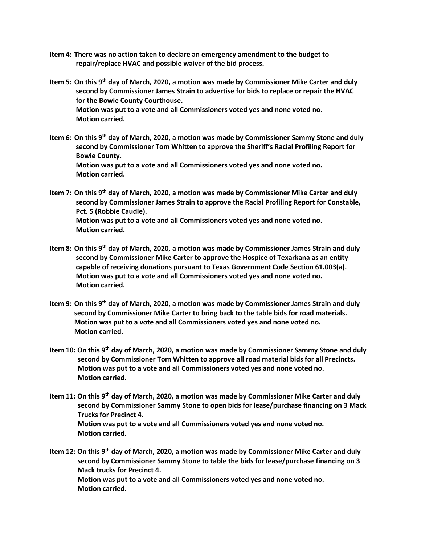- **Item 4: There was no action taken to declare an emergency amendment to the budget to repair/replace HVAC and possible waiver of the bid process.**
- **Item 5: On this 9th day of March, 2020, a motion was made by Commissioner Mike Carter and duly second by Commissioner James Strain to advertise for bids to replace or repair the HVAC for the Bowie County Courthouse. Motion was put to a vote and all Commissioners voted yes and none voted no. Motion carried.**
- **Item 6: On this 9th day of March, 2020, a motion was made by Commissioner Sammy Stone and duly second by Commissioner Tom Whitten to approve the Sheriff's Racial Profiling Report for Bowie County. Motion was put to a vote and all Commissioners voted yes and none voted no. Motion carried.**
- **Item 7: On this 9th day of March, 2020, a motion was made by Commissioner Mike Carter and duly second by Commissioner James Strain to approve the Racial Profiling Report for Constable, Pct. 5 (Robbie Caudle). Motion was put to a vote and all Commissioners voted yes and none voted no. Motion carried.**
- **Item 8: On this 9th day of March, 2020, a motion was made by Commissioner James Strain and duly second by Commissioner Mike Carter to approve the Hospice of Texarkana as an entity capable of receiving donations pursuant to Texas Government Code Section 61.003(a). Motion was put to a vote and all Commissioners voted yes and none voted no. Motion carried.**
- **Item 9: On this 9th day of March, 2020, a motion was made by Commissioner James Strain and duly second by Commissioner Mike Carter to bring back to the table bids for road materials. Motion was put to a vote and all Commissioners voted yes and none voted no. Motion carried.**
- **Item 10: On this 9th day of March, 2020, a motion was made by Commissioner Sammy Stone and duly second by Commissioner Tom Whitten to approve all road material bids for all Precincts. Motion was put to a vote and all Commissioners voted yes and none voted no. Motion carried.**
- **Item 11: On this 9th day of March, 2020, a motion was made by Commissioner Mike Carter and duly second by Commissioner Sammy Stone to open bids for lease/purchase financing on 3 Mack Trucks for Precinct 4. Motion was put to a vote and all Commissioners voted yes and none voted no. Motion carried.**

**Item 12: On this 9th day of March, 2020, a motion was made by Commissioner Mike Carter and duly second by Commissioner Sammy Stone to table the bids for lease/purchase financing on 3 Mack trucks for Precinct 4. Motion was put to a vote and all Commissioners voted yes and none voted no. Motion carried.**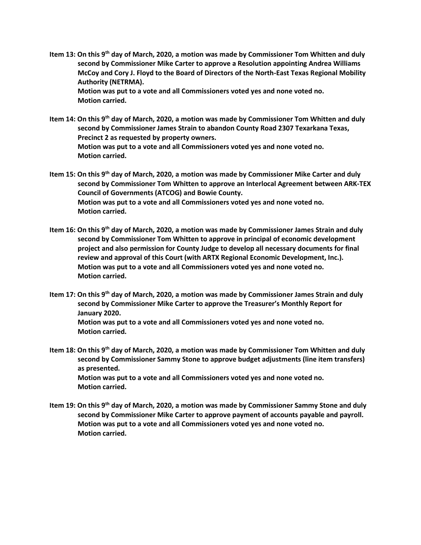**Item 13: On this 9th day of March, 2020, a motion was made by Commissioner Tom Whitten and duly second by Commissioner Mike Carter to approve a Resolution appointing Andrea Williams McCoy and Cory J. Floyd to the Board of Directors of the North-East Texas Regional Mobility Authority (NETRMA).**

 **Motion was put to a vote and all Commissioners voted yes and none voted no. Motion carried.**

- **Item 14: On this 9th day of March, 2020, a motion was made by Commissioner Tom Whitten and duly second by Commissioner James Strain to abandon County Road 2307 Texarkana Texas, Precinct 2 as requested by property owners. Motion was put to a vote and all Commissioners voted yes and none voted no. Motion carried.**
- **Item 15: On this 9th day of March, 2020, a motion was made by Commissioner Mike Carter and duly second by Commissioner Tom Whitten to approve an Interlocal Agreement between ARK-TEX Council of Governments (ATCOG) and Bowie County. Motion was put to a vote and all Commissioners voted yes and none voted no. Motion carried.**
- **Item 16: On this 9th day of March, 2020, a motion was made by Commissioner James Strain and duly second by Commissioner Tom Whitten to approve in principal of economic development project and also permission for County Judge to develop all necessary documents for final review and approval of this Court (with ARTX Regional Economic Development, Inc.). Motion was put to a vote and all Commissioners voted yes and none voted no. Motion carried.**
- **Item 17: On this 9th day of March, 2020, a motion was made by Commissioner James Strain and duly second by Commissioner Mike Carter to approve the Treasurer's Monthly Report for January 2020. Motion was put to a vote and all Commissioners voted yes and none voted no. Motion carried.**
- **Item 18: On this 9th day of March, 2020, a motion was made by Commissioner Tom Whitten and duly second by Commissioner Sammy Stone to approve budget adjustments (line item transfers) as presented. Motion was put to a vote and all Commissioners voted yes and none voted no. Motion carried.**
- **Item 19: On this 9th day of March, 2020, a motion was made by Commissioner Sammy Stone and duly second by Commissioner Mike Carter to approve payment of accounts payable and payroll. Motion was put to a vote and all Commissioners voted yes and none voted no. Motion carried.**